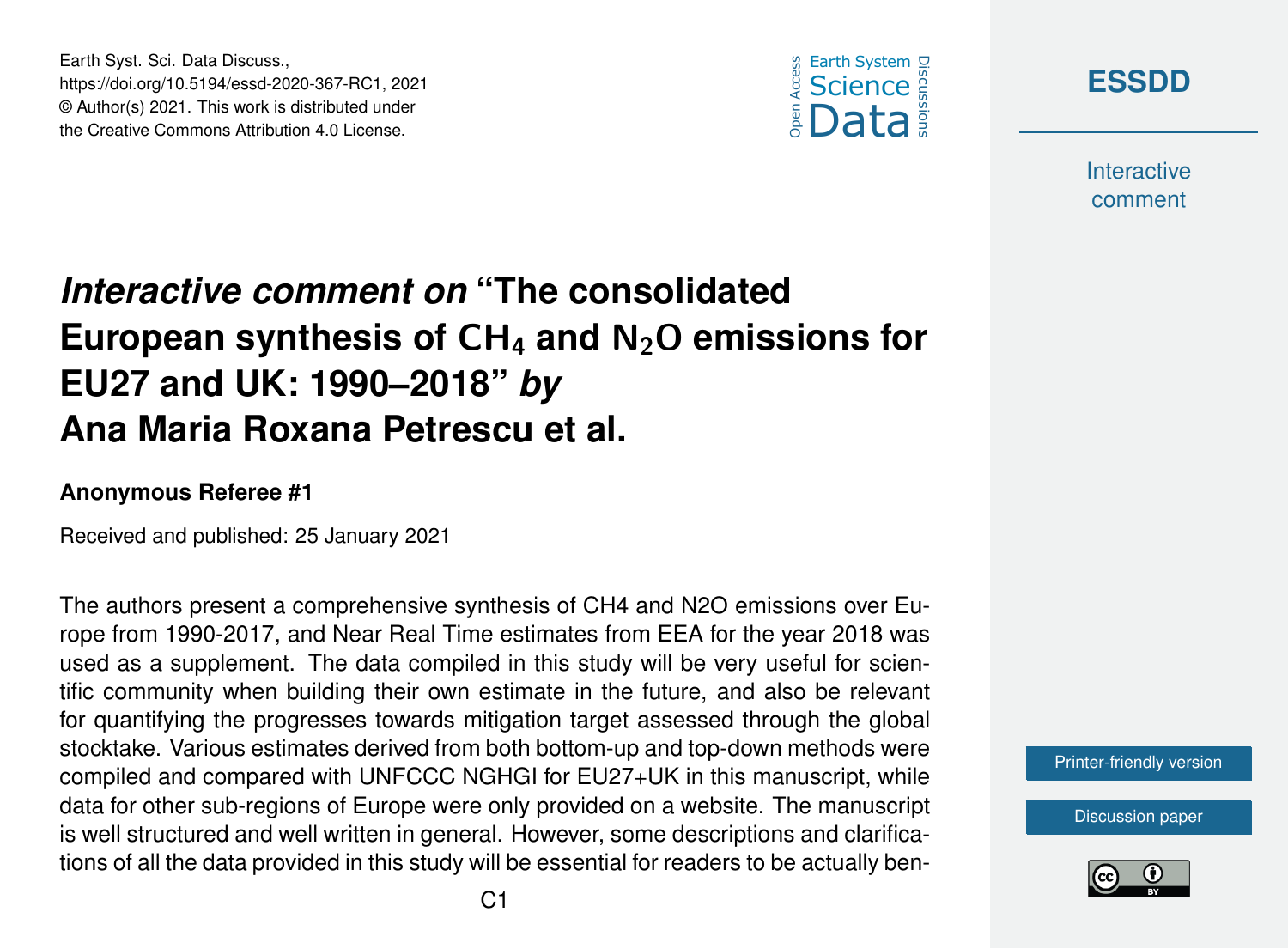

**[ESSDD](https://essd.copernicus.org/preprints/)**

**Interactive** comment

## *Interactive comment on* **"The consolidated European synthesis of** CH<sup>4</sup> **and** N2O **emissions for EU27 and UK: 1990–2018"** *by* **Ana Maria Roxana Petrescu et al.**

## **Anonymous Referee #1**

Earth Syst. Sci. Data Discuss.,

https://doi.org/10.5194/essd-2020-367-RC1, 2021 © Author(s) 2021. This work is distributed under the Creative Commons Attribution 4.0 License.

Received and published: 25 January 2021

The authors present a comprehensive synthesis of CH4 and N2O emissions over Europe from 1990-2017, and Near Real Time estimates from EEA for the year 2018 was used as a supplement. The data compiled in this study will be very useful for scientific community when building their own estimate in the future, and also be relevant for quantifying the progresses towards mitigation target assessed through the global stocktake. Various estimates derived from both bottom-up and top-down methods were compiled and compared with UNFCCC NGHGI for EU27+UK in this manuscript, while data for other sub-regions of Europe were only provided on a website. The manuscript is well structured and well written in general. However, some descriptions and clarifications of all the data provided in this study will be essential for readers to be actually ben-

[Printer-friendly version](https://essd.copernicus.org/preprints/essd-2020-367/essd-2020-367-RC1-print.pdf)

[Discussion paper](https://essd.copernicus.org/preprints/essd-2020-367)

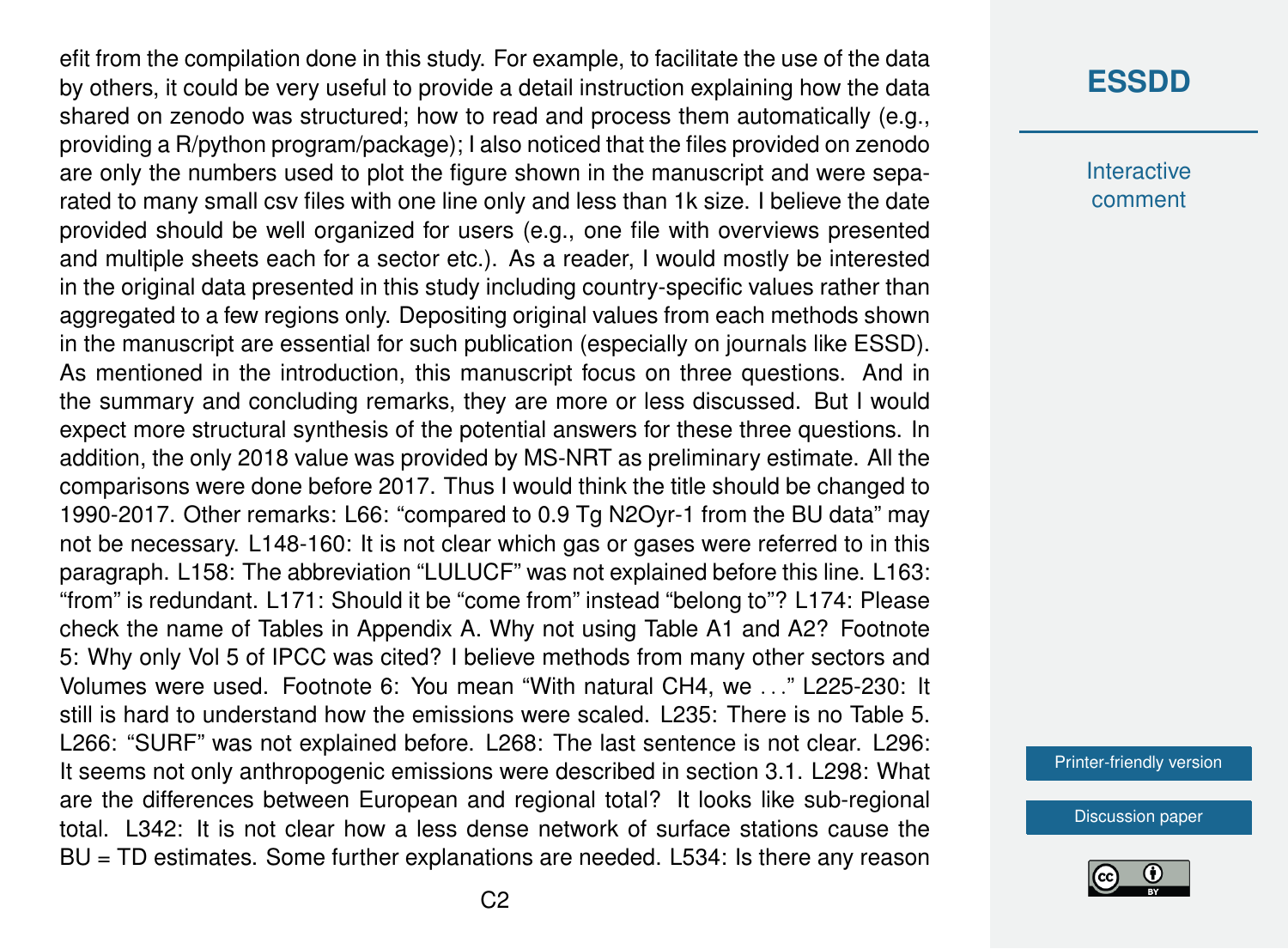efit from the compilation done in this study. For example, to facilitate the use of the data by others, it could be very useful to provide a detail instruction explaining how the data shared on zenodo was structured; how to read and process them automatically (e.g., providing a R/python program/package); I also noticed that the files provided on zenodo are only the numbers used to plot the figure shown in the manuscript and were separated to many small csv files with one line only and less than 1k size. I believe the date provided should be well organized for users (e.g., one file with overviews presented and multiple sheets each for a sector etc.). As a reader, I would mostly be interested in the original data presented in this study including country-specific values rather than aggregated to a few regions only. Depositing original values from each methods shown in the manuscript are essential for such publication (especially on journals like ESSD). As mentioned in the introduction, this manuscript focus on three questions. And in the summary and concluding remarks, they are more or less discussed. But I would expect more structural synthesis of the potential answers for these three questions. In addition, the only 2018 value was provided by MS-NRT as preliminary estimate. All the comparisons were done before 2017. Thus I would think the title should be changed to 1990-2017. Other remarks: L66: "compared to 0.9 Tg N2Oyr-1 from the BU data" may not be necessary. L148-160: It is not clear which gas or gases were referred to in this paragraph. L158: The abbreviation "LULUCF" was not explained before this line. L163: "from" is redundant. L171: Should it be "come from" instead "belong to"? L174: Please check the name of Tables in Appendix A. Why not using Table A1 and A2? Footnote 5: Why only Vol 5 of IPCC was cited? I believe methods from many other sectors and Volumes were used. Footnote 6: You mean "With natural CH4, we . . ." L225-230: It still is hard to understand how the emissions were scaled. L235: There is no Table 5. L266: "SURF" was not explained before. L268: The last sentence is not clear. L296: It seems not only anthropogenic emissions were described in section 3.1. L298: What are the differences between European and regional total? It looks like sub-regional total. L342: It is not clear how a less dense network of surface stations cause the BU = TD estimates. Some further explanations are needed. L534: Is there any reason

## **[ESSDD](https://essd.copernicus.org/preprints/)**

**Interactive** comment

[Printer-friendly version](https://essd.copernicus.org/preprints/essd-2020-367/essd-2020-367-RC1-print.pdf)

[Discussion paper](https://essd.copernicus.org/preprints/essd-2020-367)